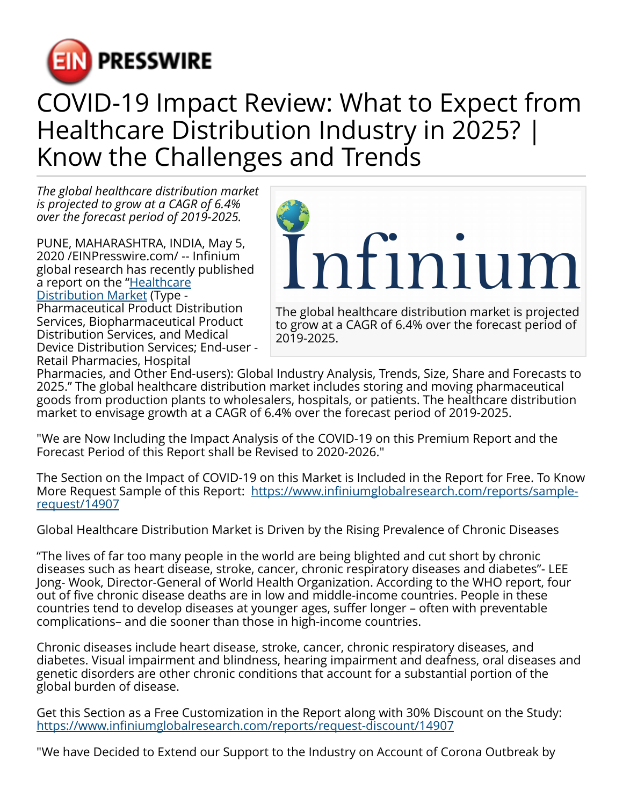

## COVID-19 Impact Review: What to Expect from Healthcare Distribution Industry in 2025? | Know the Challenges and Trends

*The global healthcare distribution market is projected to grow at a CAGR of 6.4% over the forecast period of 2019-2025.*

PUNE, MAHARASHTRA, INDIA, May 5, 2020 /[EINPresswire.com](http://www.einpresswire.com)/ -- Infinium global research has recently published a report on the "**Healthcare** [Distribution Market](https://www.infiniumglobalresearch.com/healthcare-medical-devices/global-healthcare-distribution-market) (Type - Pharmaceutical Product Distribution Services, Biopharmaceutical Product Distribution Services, and Medical

Device Distribution Services; End-user - Retail Pharmacies, Hospital



to grow at a CAGR of 6.4% over the forecast period of 2019-2025.

Pharmacies, and Other End-users): Global Industry Analysis, Trends, Size, Share and Forecasts to 2025." The global healthcare distribution market includes storing and moving pharmaceutical goods from production plants to wholesalers, hospitals, or patients. The healthcare distribution market to envisage growth at a CAGR of 6.4% over the forecast period of 2019-2025.

"We are Now Including the Impact Analysis of the COVID-19 on this Premium Report and the Forecast Period of this Report shall be Revised to 2020-2026."

The Section on the Impact of COVID-19 on this Market is Included in the Report for Free. To Know More Request Sample of this Report: [https://www.infiniumglobalresearch.com/reports/sample](https://www.infiniumglobalresearch.com/reports/sample-request/14907)[request/14907](https://www.infiniumglobalresearch.com/reports/sample-request/14907)

Global Healthcare Distribution Market is Driven by the Rising Prevalence of Chronic Diseases

"The lives of far too many people in the world are being blighted and cut short by chronic diseases such as heart disease, stroke, cancer, chronic respiratory diseases and diabetes"- LEE Jong- Wook, Director-General of World Health Organization. According to the WHO report, four out of five chronic disease deaths are in low and middle-income countries. People in these countries tend to develop diseases at younger ages, suffer longer – often with preventable complications– and die sooner than those in high-income countries.

Chronic diseases include heart disease, stroke, cancer, chronic respiratory diseases, and diabetes. Visual impairment and blindness, hearing impairment and deafness, oral diseases and genetic disorders are other chronic conditions that account for a substantial portion of the global burden of disease.

Get this Section as a Free Customization in the Report along with 30% Discount on the Study: <https://www.infiniumglobalresearch.com/reports/request-discount/14907>

"We have Decided to Extend our Support to the Industry on Account of Corona Outbreak by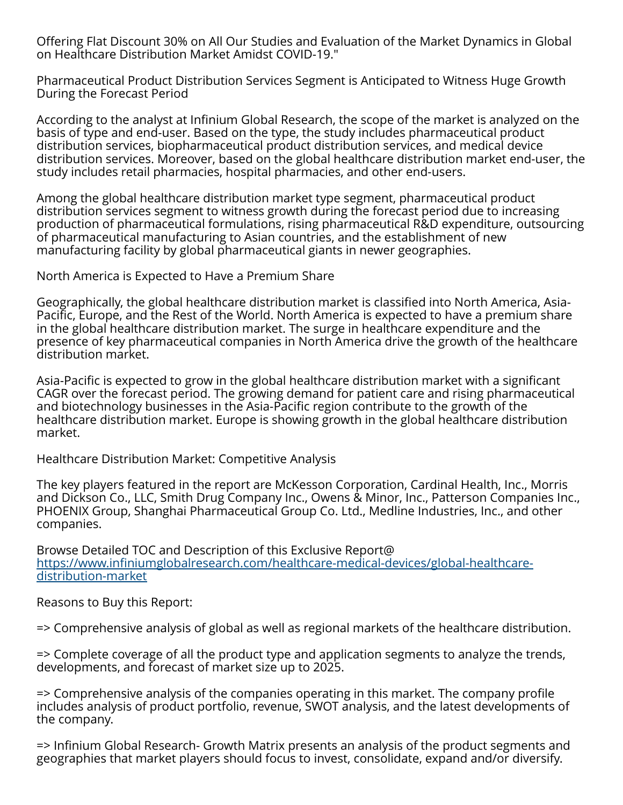Offering Flat Discount 30% on All Our Studies and Evaluation of the Market Dynamics in Global on Healthcare Distribution Market Amidst COVID-19."

Pharmaceutical Product Distribution Services Segment is Anticipated to Witness Huge Growth During the Forecast Period

According to the analyst at Infinium Global Research, the scope of the market is analyzed on the basis of type and end-user. Based on the type, the study includes pharmaceutical product distribution services, biopharmaceutical product distribution services, and medical device distribution services. Moreover, based on the global healthcare distribution market end-user, the study includes retail pharmacies, hospital pharmacies, and other end-users.

Among the global healthcare distribution market type segment, pharmaceutical product distribution services segment to witness growth during the forecast period due to increasing production of pharmaceutical formulations, rising pharmaceutical R&D expenditure, outsourcing of pharmaceutical manufacturing to Asian countries, and the establishment of new manufacturing facility by global pharmaceutical giants in newer geographies.

North America is Expected to Have a Premium Share

Geographically, the global healthcare distribution market is classified into North America, Asia-Pacific, Europe, and the Rest of the World. North America is expected to have a premium share in the global healthcare distribution market. The surge in healthcare expenditure and the presence of key pharmaceutical companies in North America drive the growth of the healthcare distribution market.

Asia-Pacific is expected to grow in the global healthcare distribution market with a significant CAGR over the forecast period. The growing demand for patient care and rising pharmaceutical and biotechnology businesses in the Asia-Pacific region contribute to the growth of the healthcare distribution market. Europe is showing growth in the global healthcare distribution market.

Healthcare Distribution Market: Competitive Analysis

The key players featured in the report are McKesson Corporation, Cardinal Health, Inc., Morris and Dickson Co., LLC, Smith Drug Company Inc., Owens & Minor, Inc., Patterson Companies Inc., PHOENIX Group, Shanghai Pharmaceutical Group Co. Ltd., Medline Industries, Inc., and other companies.

Browse Detailed TOC and Description of this Exclusive Report@ [https://www.infiniumglobalresearch.com/healthcare-medical-devices/global-healthcare](https://www.infiniumglobalresearch.com/healthcare-medical-devices/global-healthcare-distribution-market)[distribution-market](https://www.infiniumglobalresearch.com/healthcare-medical-devices/global-healthcare-distribution-market)

Reasons to Buy this Report:

=> Comprehensive analysis of global as well as regional markets of the healthcare distribution.

=> Complete coverage of all the product type and application segments to analyze the trends, developments, and forecast of market size up to 2025.

=> Comprehensive analysis of the companies operating in this market. The company profile includes analysis of product portfolio, revenue, SWOT analysis, and the latest developments of the company.

=> Infinium Global Research- Growth Matrix presents an analysis of the product segments and geographies that market players should focus to invest, consolidate, expand and/or diversify.